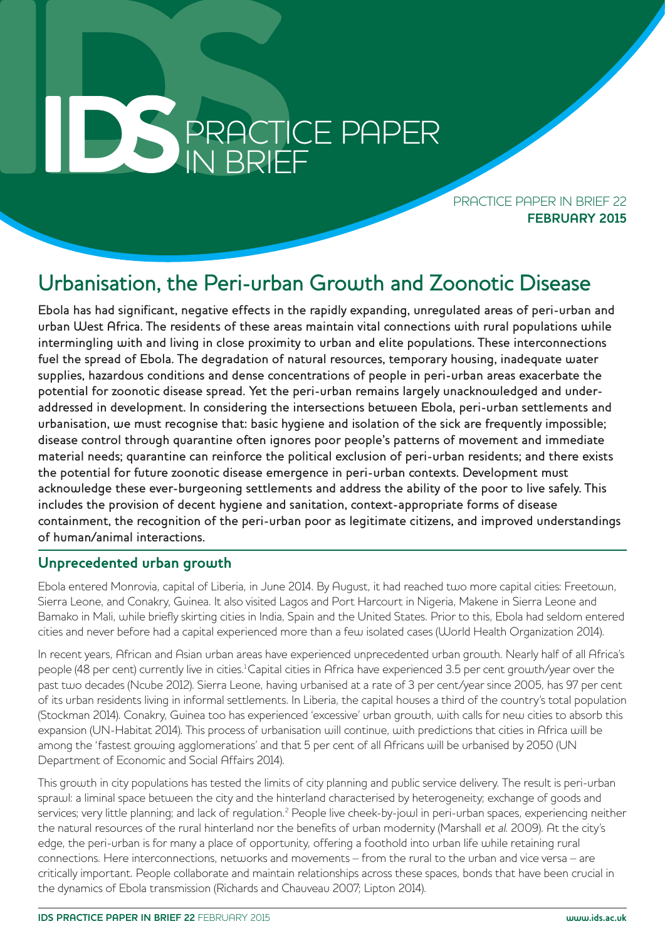# **PRACTICE PAPER** PRACTICE PAPER IN BRIEF

PRACTICE PAPER IN BRIFF 22 **FEBRUARY 2015**

# Urbanisation, the Peri-urban Growth and Zoonotic Disease

Ebola has had significant, negative effects in the rapidly expanding, unregulated areas of peri-urban and urban West Africa. The residents of these areas maintain vital connections with rural populations while intermingling with and living in close proximity to urban and elite populations. These interconnections fuel the spread of Ebola. The degradation of natural resources, temporary housing, inadequate water supplies, hazardous conditions and dense concentrations of people in peri-urban areas exacerbate the potential for zoonotic disease spread. Yet the peri-urban remains largely unacknowledged and underaddressed in development. In considering the intersections between Ebola, peri-urban settlements and urbanisation, we must recognise that: basic hygiene and isolation of the sick are frequently impossible; disease control through quarantine often ignores poor people's patterns of movement and immediate material needs; quarantine can reinforce the political exclusion of peri-urban residents; and there exists the potential for future zoonotic disease emergence in peri-urban contexts. Development must acknowledge these ever-burgeoning settlements and address the ability of the poor to live safely. This includes the provision of decent hygiene and sanitation, context-appropriate forms of disease containment, the recognition of the peri-urban poor as legitimate citizens, and improved understandings of human/animal interactions.

## **Unprecedented urban growth**

Ebola entered Monrovia, capital of Liberia, in June 2014. By August, it had reached two more capital cities: Freetown, Sierra Leone, and Conakry, Guinea. It also visited Lagos and Port Harcourt in Nigeria, Makene in Sierra Leone and Bamako in Mali, while briefly skirting cities in India, Spain and the United States. Prior to this, Ebola had seldom entered cities and never before had a capital experienced more than a few isolated cases (World Health Organization 2014).

In recent years, African and Asian urban areas have experienced unprecedented urban growth. Nearly half of all Africa's people (48 per cent) currently live in cities.<sup>1</sup> Capital cities in Africa have experienced 3.5 per cent growth/year over the past two decades (Ncube 2012). Sierra Leone, having urbanised at a rate of 3 per cent/year since 2005, has 97 per cent of its urban residents living in informal settlements. In Liberia, the capital houses a third of the country's total population (Stockman 2014). Conakry, Guinea too has experienced 'excessive' urban growth, with calls for new cities to absorb this expansion (UN-Habitat 2014). This process of urbanisation will continue, with predictions that cities in Africa will be among the 'fastest growing agglomerations' and that 5 per cent of all Africans will be urbanised by 2050 (UN Department of Economic and Social Affairs 2014).

This growth in city populations has tested the limits of city planning and public service delivery. The result is peri-urban sprawl: a liminal space between the city and the hinterland characterised by heterogeneity; exchange of goods and services; very little planning; and lack of regulation.<sup>2</sup> People live cheek-by-jowl in peri-urban spaces, experiencing neither the natural resources of the rural hinterland nor the benefits of urban modernity (Marshall et al. 2009). At the city's edge, the peri-urban is for many a place of opportunity, offering a foothold into urban life while retaining rural connections. Here interconnections, networks and movements – from the rural to the urban and vice versa – are critically important. People collaborate and maintain relationships across these spaces, bonds that have been crucial in the dynamics of Ebola transmission (Richards and Chauveau 2007; Lipton 2014).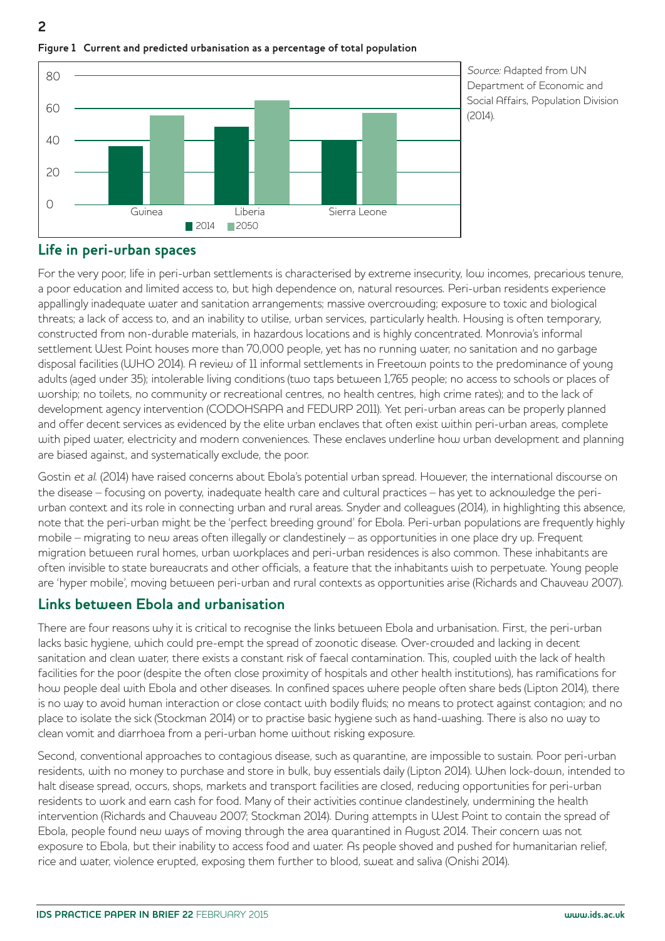

**Figure 1 Current and predicted urbanisation as a percentage of total population**

Source: Adapted from UN Department of Economic and Social Affairs, Population Division (2014).

## **Life in peri-urban spaces**

For the very poor, life in peri-urban settlements is characterised by extreme insecurity, low incomes, precarious tenure, a poor education and limited access to, but high dependence on, natural resources. Peri-urban residents experience appallingly inadequate water and sanitation arrangements; massive overcrowding; exposure to toxic and biological threats; a lack of access to, and an inability to utilise, urban services, particularly health. Housing is often temporary, constructed from non-durable materials, in hazardous locations and is highly concentrated. Monrovia's informal settlement West Point houses more than 70,000 people, yet has no running water, no sanitation and no garbage disposal facilities (WHO 2014). A review of 11 informal settlements in Freetown points to the predominance of young adults (aged under 35); intolerable living conditions (two taps between 1,765 people; no access to schools or places of worship; no toilets, no community or recreational centres, no health centres, high crime rates); and to the lack of development agency intervention (CODOHSAPA and FEDURP 2011). Yet peri-urban areas can be properly planned and offer decent services as evidenced by the elite urban enclaves that often exist within peri-urban areas, complete with piped water, electricity and modern conveniences. These enclaves underline how urban development and planning are biased against, and systematically exclude, the poor.

Gostin et al. (2014) have raised concerns about Ebola's potential urban spread. However, the international discourse on the disease – focusing on poverty, inadequate health care and cultural practices – has yet to acknowledge the periurban context and its role in connecting urban and rural areas. Snyder and colleagues (2014), in highlighting this absence, note that the peri-urban might be the 'perfect breeding ground' for Ebola. Peri-urban populations are frequently highly mobile – migrating to new areas often illegally or clandestinely – as opportunities in one place dry up. Frequent migration between rural homes, urban workplaces and peri-urban residences is also common. These inhabitants are often invisible to state bureaucrats and other officials, a feature that the inhabitants wish to perpetuate. Young people are 'hyper mobile', moving between peri-urban and rural contexts as opportunities arise (Richards and Chauveau 2007).

## **Links between Ebola and urbanisation**

There are four reasons why it is critical to recognise the links between Ebola and urbanisation. First, the peri-urban lacks basic hygiene, which could pre-empt the spread of zoonotic disease. Over-crowded and lacking in decent sanitation and clean water, there exists a constant risk of faecal contamination. This, coupled with the lack of health facilities for the poor (despite the often close proximity of hospitals and other health institutions), has ramifications for how people deal with Ebola and other diseases. In confined spaces where people often share beds (Lipton 2014), there is no way to avoid human interaction or close contact with bodily fluids; no means to protect against contagion; and no place to isolate the sick (Stockman 2014) or to practise basic hygiene such as hand-washing. There is also no way to clean vomit and diarrhoea from a peri-urban home without risking exposure.

Second, conventional approaches to contagious disease, such as quarantine, are impossible to sustain. Poor peri-urban residents, with no money to purchase and store in bulk, buy essentials daily (Lipton 2014). When lock-down, intended to halt disease spread, occurs, shops, markets and transport facilities are closed, reducing opportunities for peri-urban residents to work and earn cash for food. Many of their activities continue clandestinely, undermining the health intervention (Richards and Chauveau 2007; Stockman 2014). During attempts in West Point to contain the spread of Ebola, people found new ways of moving through the area quarantined in August 2014. Their concern was not exposure to Ebola, but their inability to access food and water. As people shoved and pushed for humanitarian relief, rice and water, violence erupted, exposing them further to blood, sweat and saliva (Onishi 2014).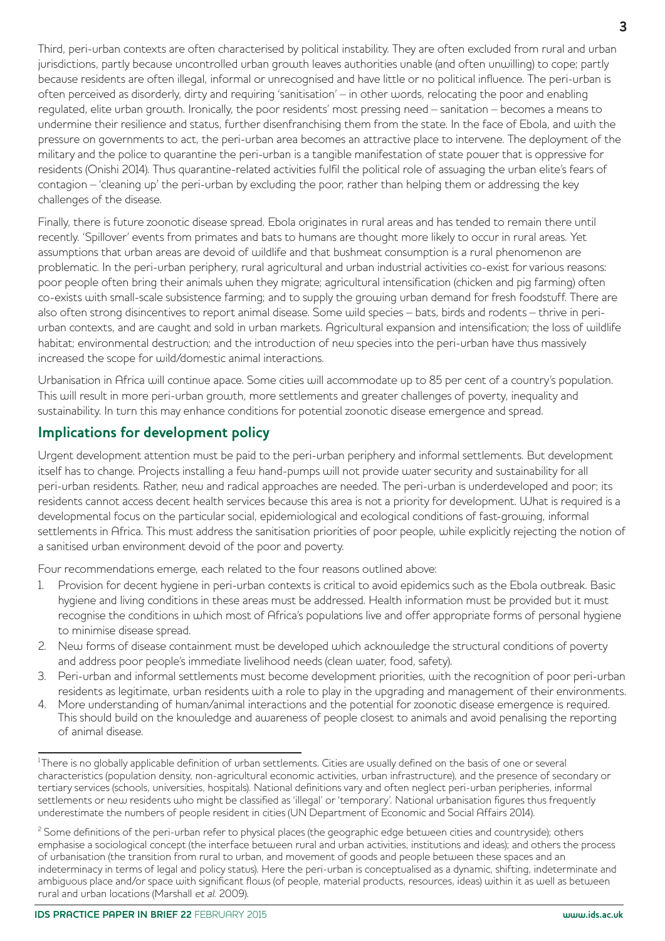Third, peri-urban contexts are often characterised by political instability. They are often excluded from rural and urban jurisdictions, partly because uncontrolled urban growth leaves authorities unable (and often unwilling) to cope; partly because residents are often illegal, informal or unrecognised and have little or no political influence. The peri-urban is often perceived as disorderly, dirty and requiring 'sanitisation' – in other words, relocating the poor and enabling regulated, elite urban growth. Ironically, the poor residents' most pressing need – sanitation – becomes a means to undermine their resilience and status, further disenfranchising them from the state. In the face of Ebola, and with the pressure on governments to act, the peri-urban area becomes an attractive place to intervene. The deployment of the military and the police to quarantine the peri-urban is a tangible manifestation of state power that is oppressive for residents (Onishi 2014). Thus quarantine-related activities fulfil the political role of assuaging the urban elite's fears of contagion – 'cleaning up' the peri-urban by excluding the poor, rather than helping them or addressing the key challenges of the disease.

Finally, there is future zoonotic disease spread. Ebola originates in rural areas and has tended to remain there until recently. 'Spillover' events from primates and bats to humans are thought more likely to occur in rural areas. Yet assumptions that urban areas are devoid of wildlife and that bushmeat consumption is a rural phenomenon are problematic. In the peri-urban periphery, rural agricultural and urban industrial activities co-exist for various reasons: poor people often bring their animals when they migrate; agricultural intensification (chicken and pig farming) often co-exists with small-scale subsistence farming; and to supply the growing urban demand for fresh foodstuff. There are also often strong disincentives to report animal disease. Some wild species – bats, birds and rodents – thrive in periurban contexts, and are caught and sold in urban markets. Agricultural expansion and intensification; the loss of wildlife habitat; environmental destruction; and the introduction of new species into the peri-urban have thus massively increased the scope for wild/domestic animal interactions.

Urbanisation in Africa will continue apace. Some cities will accommodate up to 85 per cent of a country's population. This will result in more peri-urban growth, more settlements and greater challenges of poverty, inequality and sustainability. In turn this may enhance conditions for potential zoonotic disease emergence and spread.

## **Implications for development policy**

Urgent development attention must be paid to the peri-urban periphery and informal settlements. But development itself has to change. Projects installing a few hand-pumps will not provide water security and sustainability for all peri-urban residents. Rather, new and radical approaches are needed. The peri-urban is underdeveloped and poor; its residents cannot access decent health services because this area is not a priority for development. What is required is a developmental focus on the particular social, epidemiological and ecological conditions of fast-growing, informal settlements in Africa. This must address the sanitisation priorities of poor people, while explicitly rejecting the notion of a sanitised urban environment devoid of the poor and poverty.

Four recommendations emerge, each related to the four reasons outlined above:

- 1. Provision for decent hygiene in peri-urban contexts is critical to avoid epidemics such as the Ebola outbreak. Basic hygiene and living conditions in these areas must be addressed. Health information must be provided but it must recognise the conditions in which most of Africa's populations live and offer appropriate forms of personal hygiene to minimise disease spread.
- 2. New forms of disease containment must be developed which acknowledge the structural conditions of poverty and address poor people's immediate livelihood needs (clean water, food, safety).
- 3. Peri-urban and informal settlements must become development priorities, with the recognition of poor peri-urban residents as legitimate, urban residents with a role to play in the upgrading and management of their environments.
- 4. More understanding of human/animal interactions and the potential for zoonotic disease emergence is required. This should build on the knowledge and awareness of people closest to animals and avoid penalising the reporting of animal disease.

<sup>&</sup>lt;sup>1</sup>There is no globally applicable definition of urban settlements. Cities are usually defined on the basis of one or several characteristics (population density, non-agricultural economic activities, urban infrastructure), and the presence of secondary or tertiary services (schools, universities, hospitals). National definitions vary and often neglect peri-urban peripheries, informal settlements or new residents who might be classified as 'illegal' or 'temporary'. National urbanisation figures thus frequently underestimate the numbers of people resident in cities (UN Department of Economic and Social Affairs 2014).

<sup>&</sup>lt;sup>2</sup> Some definitions of the peri-urban refer to physical places (the geographic edge between cities and countryside); others emphasise a sociological concept (the interface between rural and urban activities, institutions and ideas); and others the process of urbanisation (the transition from rural to urban, and movement of goods and people between these spaces and an indeterminacy in terms of legal and policy status). Here the peri-urban is conceptualised as a dynamic, shifting, indeterminate and ambiguous place and/or space with significant flows (of people, material products, resources, ideas) within it as well as between rural and urban locations (Marshall et al. 2009).